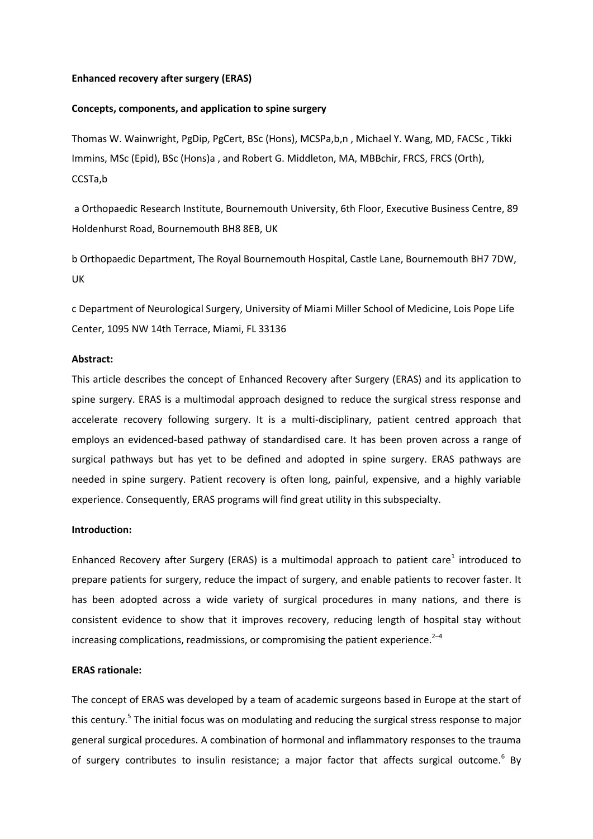### **Enhanced recovery after surgery (ERAS)**

#### **Concepts, components, and application to spine surgery**

Thomas W. Wainwright, PgDip, PgCert, BSc (Hons), MCSPa,b,n , Michael Y. Wang, MD, FACSc , Tikki Immins, MSc (Epid), BSc (Hons)a , and Robert G. Middleton, MA, MBBchir, FRCS, FRCS (Orth), CCSTa,b

a Orthopaedic Research Institute, Bournemouth University, 6th Floor, Executive Business Centre, 89 Holdenhurst Road, Bournemouth BH8 8EB, UK

b Orthopaedic Department, The Royal Bournemouth Hospital, Castle Lane, Bournemouth BH7 7DW, UK

c Department of Neurological Surgery, University of Miami Miller School of Medicine, Lois Pope Life Center, 1095 NW 14th Terrace, Miami, FL 33136

# **Abstract:**

This article describes the concept of Enhanced Recovery after Surgery (ERAS) and its application to spine surgery. ERAS is a multimodal approach designed to reduce the surgical stress response and accelerate recovery following surgery. It is a multi-disciplinary, patient centred approach that employs an evidenced-based pathway of standardised care. It has been proven across a range of surgical pathways but has yet to be defined and adopted in spine surgery. ERAS pathways are needed in spine surgery. Patient recovery is often long, painful, expensive, and a highly variable experience. Consequently, ERAS programs will find great utility in this subspecialty.

# **Introduction:**

Enhanced Recovery after Surgery (ERAS) is a multimodal approach to patient care<sup>1</sup> introduced to prepare patients for surgery, reduce the impact of surgery, and enable patients to recover faster. It has been adopted across a wide variety of surgical procedures in many nations, and there is consistent evidence to show that it improves recovery, reducing length of hospital stay without increasing complications, readmissions, or compromising the patient experience. $2-4$ 

# **ERAS rationale:**

The concept of ERAS was developed by a team of academic surgeons based in Europe at the start of this century.<sup>5</sup> The initial focus was on modulating and reducing the surgical stress response to major general surgical procedures. A combination of hormonal and inflammatory responses to the trauma of surgery contributes to insulin resistance; a major factor that affects surgical outcome.<sup>6</sup> By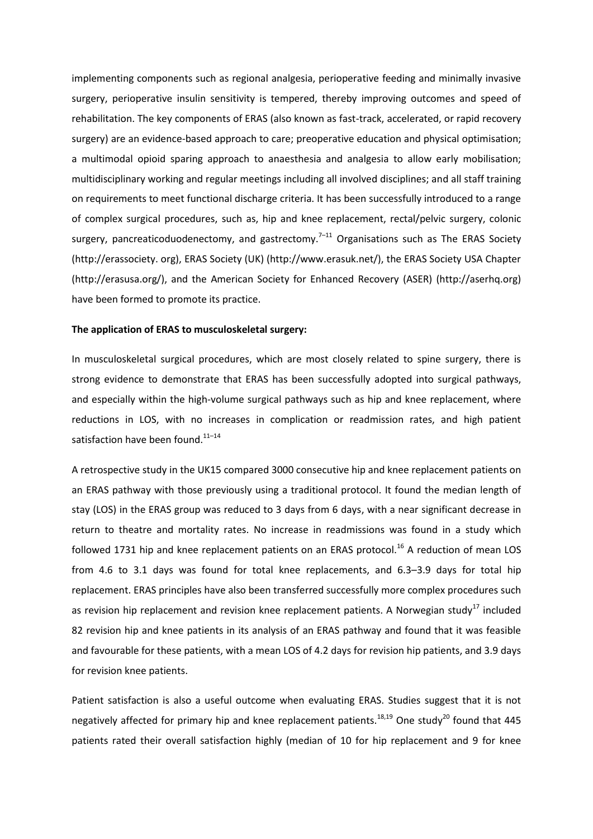implementing components such as regional analgesia, perioperative feeding and minimally invasive surgery, perioperative insulin sensitivity is tempered, thereby improving outcomes and speed of rehabilitation. The key components of ERAS (also known as fast-track, accelerated, or rapid recovery surgery) are an evidence-based approach to care; preoperative education and physical optimisation; a multimodal opioid sparing approach to anaesthesia and analgesia to allow early mobilisation; multidisciplinary working and regular meetings including all involved disciplines; and all staff training on requirements to meet functional discharge criteria. It has been successfully introduced to a range of complex surgical procedures, such as, hip and knee replacement, rectal/pelvic surgery, colonic surgery, pancreaticoduodenectomy, and gastrectomy.<sup>7-11</sup> Organisations such as The ERAS Society (http://erassociety. org), ERAS Society (UK) (http://www.erasuk.net/), the ERAS Society USA Chapter (http://erasusa.org/), and the American Society for Enhanced Recovery (ASER) (http://aserhq.org) have been formed to promote its practice.

#### **The application of ERAS to musculoskeletal surgery:**

In musculoskeletal surgical procedures, which are most closely related to spine surgery, there is strong evidence to demonstrate that ERAS has been successfully adopted into surgical pathways, and especially within the high-volume surgical pathways such as hip and knee replacement, where reductions in LOS, with no increases in complication or readmission rates, and high patient satisfaction have been found.<sup>11-14</sup>

A retrospective study in the UK15 compared 3000 consecutive hip and knee replacement patients on an ERAS pathway with those previously using a traditional protocol. It found the median length of stay (LOS) in the ERAS group was reduced to 3 days from 6 days, with a near significant decrease in return to theatre and mortality rates. No increase in readmissions was found in a study which followed 1731 hip and knee replacement patients on an ERAS protocol.<sup>16</sup> A reduction of mean LOS from 4.6 to 3.1 days was found for total knee replacements, and 6.3–3.9 days for total hip replacement. ERAS principles have also been transferred successfully more complex procedures such as revision hip replacement and revision knee replacement patients. A Norwegian study<sup>17</sup> included 82 revision hip and knee patients in its analysis of an ERAS pathway and found that it was feasible and favourable for these patients, with a mean LOS of 4.2 days for revision hip patients, and 3.9 days for revision knee patients.

Patient satisfaction is also a useful outcome when evaluating ERAS. Studies suggest that it is not negatively affected for primary hip and knee replacement patients.<sup>18,19</sup> One study<sup>20</sup> found that 445 patients rated their overall satisfaction highly (median of 10 for hip replacement and 9 for knee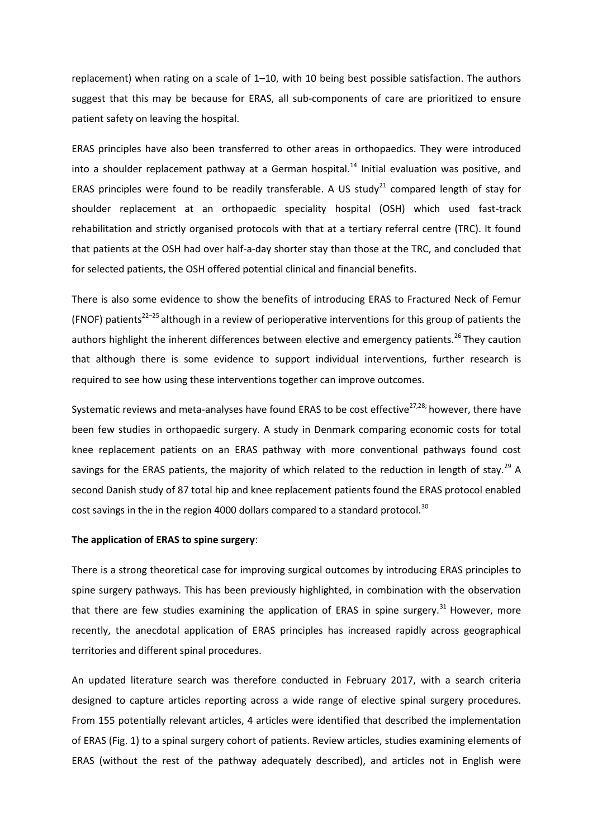replacement) when rating on a scale of 1–10, with 10 being best possible satisfaction. The authors suggest that this may be because for ERAS, all sub-components of care are prioritized to ensure patient safety on leaving the hospital.

ERAS principles have also been transferred to other areas in orthopaedics. They were introduced into a shoulder replacement pathway at a German hospital.<sup>14</sup> Initial evaluation was positive, and ERAS principles were found to be readily transferable. A US study<sup>21</sup> compared length of stay for shoulder replacement at an orthopaedic speciality hospital (OSH) which used fast-track rehabilitation and strictly organised protocols with that at a tertiary referral centre (TRC). It found that patients at the OSH had over half-a-day shorter stay than those at the TRC, and concluded that for selected patients, the OSH offered potential clinical and financial benefits.

There is also some evidence to show the benefits of introducing ERAS to Fractured Neck of Femur (FNOF) patients<sup>22-25</sup> although in a review of perioperative interventions for this group of patients the authors highlight the inherent differences between elective and emergency patients.<sup>26</sup> They caution that although there is some evidence to support individual interventions, further research is required to see how using these interventions together can improve outcomes.

Systematic reviews and meta-analyses have found ERAS to be cost effective<sup>27,28;</sup> however, there have been few studies in orthopaedic surgery. A study in Denmark comparing economic costs for total knee replacement patients on an ERAS pathway with more conventional pathways found cost savings for the ERAS patients, the majority of which related to the reduction in length of stay.<sup>29</sup> A second Danish study of 87 total hip and knee replacement patients found the ERAS protocol enabled cost savings in the in the region 4000 dollars compared to a standard protocol.<sup>30</sup>

# **The application of ERAS to spine surgery**:

There is a strong theoretical case for improving surgical outcomes by introducing ERAS principles to spine surgery pathways. This has been previously highlighted, in combination with the observation that there are few studies examining the application of ERAS in spine surgery.<sup>31</sup> However, more recently, the anecdotal application of ERAS principles has increased rapidly across geographical territories and different spinal procedures.

An updated literature search was therefore conducted in February 2017, with a search criteria designed to capture articles reporting across a wide range of elective spinal surgery procedures. From 155 potentially relevant articles, 4 articles were identified that described the implementation of ERAS (Fig. 1) to a spinal surgery cohort of patients. Review articles, studies examining elements of ERAS (without the rest of the pathway adequately described), and articles not in English were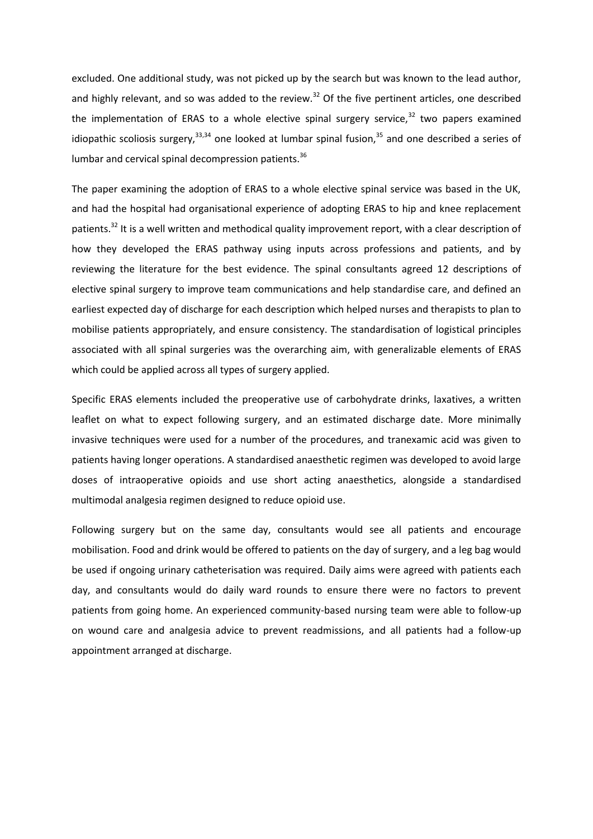excluded. One additional study, was not picked up by the search but was known to the lead author, and highly relevant, and so was added to the review.<sup>32</sup> Of the five pertinent articles, one described the implementation of ERAS to a whole elective spinal surgery service, $32$  two papers examined idiopathic scoliosis surgery,  $33,34$  one looked at lumbar spinal fusion,  $35$  and one described a series of lumbar and cervical spinal decompression patients.<sup>36</sup>

The paper examining the adoption of ERAS to a whole elective spinal service was based in the UK, and had the hospital had organisational experience of adopting ERAS to hip and knee replacement patients.<sup>32</sup> It is a well written and methodical quality improvement report, with a clear description of how they developed the ERAS pathway using inputs across professions and patients, and by reviewing the literature for the best evidence. The spinal consultants agreed 12 descriptions of elective spinal surgery to improve team communications and help standardise care, and defined an earliest expected day of discharge for each description which helped nurses and therapists to plan to mobilise patients appropriately, and ensure consistency. The standardisation of logistical principles associated with all spinal surgeries was the overarching aim, with generalizable elements of ERAS which could be applied across all types of surgery applied.

Specific ERAS elements included the preoperative use of carbohydrate drinks, laxatives, a written leaflet on what to expect following surgery, and an estimated discharge date. More minimally invasive techniques were used for a number of the procedures, and tranexamic acid was given to patients having longer operations. A standardised anaesthetic regimen was developed to avoid large doses of intraoperative opioids and use short acting anaesthetics, alongside a standardised multimodal analgesia regimen designed to reduce opioid use.

Following surgery but on the same day, consultants would see all patients and encourage mobilisation. Food and drink would be offered to patients on the day of surgery, and a leg bag would be used if ongoing urinary catheterisation was required. Daily aims were agreed with patients each day, and consultants would do daily ward rounds to ensure there were no factors to prevent patients from going home. An experienced community-based nursing team were able to follow-up on wound care and analgesia advice to prevent readmissions, and all patients had a follow-up appointment arranged at discharge.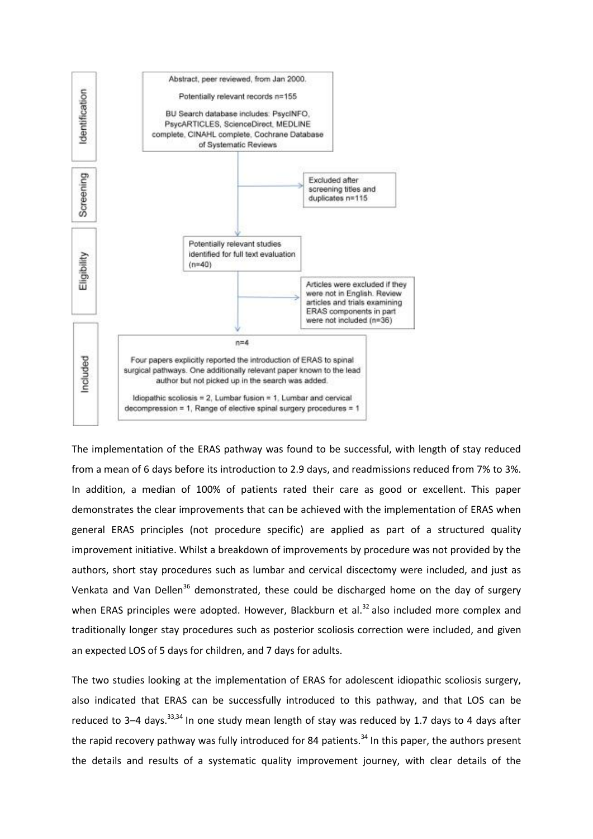

The implementation of the ERAS pathway was found to be successful, with length of stay reduced from a mean of 6 days before its introduction to 2.9 days, and readmissions reduced from 7% to 3%. In addition, a median of 100% of patients rated their care as good or excellent. This paper demonstrates the clear improvements that can be achieved with the implementation of ERAS when general ERAS principles (not procedure specific) are applied as part of a structured quality improvement initiative. Whilst a breakdown of improvements by procedure was not provided by the authors, short stay procedures such as lumbar and cervical discectomy were included, and just as Venkata and Van Dellen<sup>36</sup> demonstrated, these could be discharged home on the day of surgery when ERAS principles were adopted. However, Blackburn et al. $32$  also included more complex and traditionally longer stay procedures such as posterior scoliosis correction were included, and given an expected LOS of 5 days for children, and 7 days for adults.

The two studies looking at the implementation of ERAS for adolescent idiopathic scoliosis surgery, also indicated that ERAS can be successfully introduced to this pathway, and that LOS can be reduced to 3-4 days.<sup>33,34</sup> In one study mean length of stay was reduced by 1.7 days to 4 days after the rapid recovery pathway was fully introduced for 84 patients.<sup>34</sup> In this paper, the authors present the details and results of a systematic quality improvement journey, with clear details of the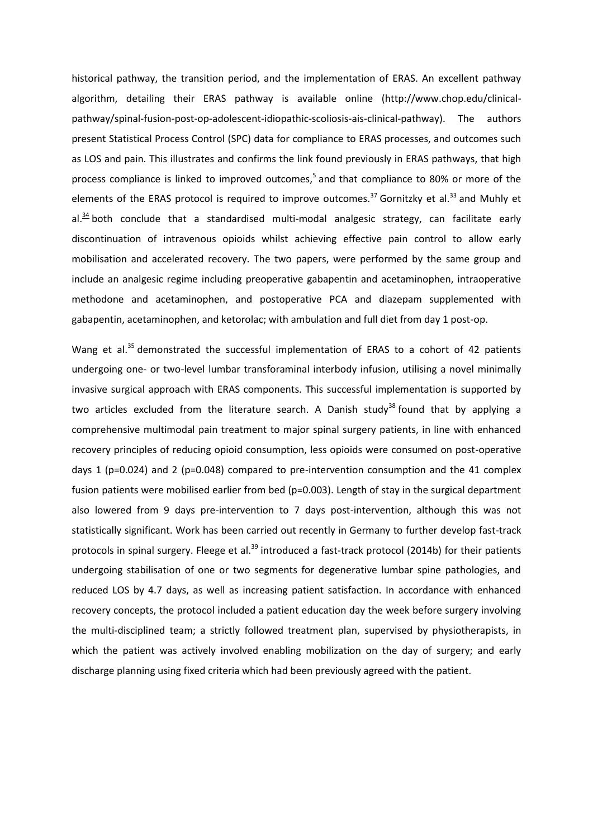historical pathway, the transition period, and the implementation of ERAS. An excellent pathway algorithm, detailing their ERAS pathway is available online (http://www.chop.edu/clinicalpathway/spinal-fusion-post-op-adolescent-idiopathic-scoliosis-ais-clinical-pathway). The authors present Statistical Process Control (SPC) data for compliance to ERAS processes, and outcomes such as LOS and pain. This illustrates and confirms the link found previously in ERAS pathways, that high process compliance is linked to improved outcomes,<sup>5</sup> and that compliance to 80% or more of the elements of the ERAS protocol is required to improve outcomes.<sup>37</sup> Gornitzky et al.<sup>33</sup> and Muhly et al. $34$  both conclude that a standardised multi-modal analgesic strategy, can facilitate early discontinuation of intravenous opioids whilst achieving effective pain control to allow early mobilisation and accelerated recovery. The two papers, were performed by the same group and include an analgesic regime including preoperative gabapentin and acetaminophen, intraoperative methodone and acetaminophen, and postoperative PCA and diazepam supplemented with gabapentin, acetaminophen, and ketorolac; with ambulation and full diet from day 1 post-op.

Wang et al.<sup>35</sup> demonstrated the successful implementation of ERAS to a cohort of 42 patients undergoing one- or two-level lumbar transforaminal interbody infusion, utilising a novel minimally invasive surgical approach with ERAS components. This successful implementation is supported by two articles excluded from the literature search. A Danish study<sup>38</sup> found that by applying a comprehensive multimodal pain treatment to major spinal surgery patients, in line with enhanced recovery principles of reducing opioid consumption, less opioids were consumed on post-operative days 1 ( $p=0.024$ ) and 2 ( $p=0.048$ ) compared to pre-intervention consumption and the 41 complex fusion patients were mobilised earlier from bed (p=0.003). Length of stay in the surgical department also lowered from 9 days pre-intervention to 7 days post-intervention, although this was not statistically significant. Work has been carried out recently in Germany to further develop fast-track protocols in spinal surgery. Fleege et al.<sup>39</sup> introduced a fast-track protocol (2014b) for their patients undergoing stabilisation of one or two segments for degenerative lumbar spine pathologies, and reduced LOS by 4.7 days, as well as increasing patient satisfaction. In accordance with enhanced recovery concepts, the protocol included a patient education day the week before surgery involving the multi-disciplined team; a strictly followed treatment plan, supervised by physiotherapists, in which the patient was actively involved enabling mobilization on the day of surgery; and early discharge planning using fixed criteria which had been previously agreed with the patient.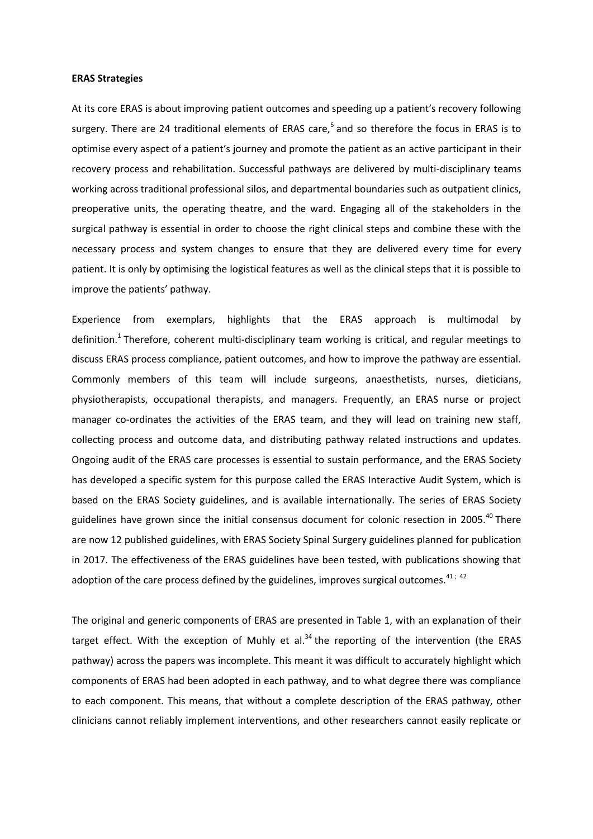#### **ERAS Strategies**

At its core ERAS is about improving patient outcomes and speeding up a patient′s recovery following surgery. There are 24 traditional elements of ERAS care,<sup>5</sup> and so therefore the focus in ERAS is to optimise every aspect of a patient′s journey and promote the patient as an active participant in their recovery process and rehabilitation. Successful pathways are delivered by multi-disciplinary teams working across traditional professional silos, and departmental boundaries such as outpatient clinics, preoperative units, the operating theatre, and the ward. Engaging all of the stakeholders in the surgical pathway is essential in order to choose the right clinical steps and combine these with the necessary process and system changes to ensure that they are delivered every time for every patient. It is only by optimising the logistical features as well as the clinical steps that it is possible to improve the patients′ pathway.

Experience from exemplars, highlights that the ERAS approach is multimodal by definition.<sup>1</sup> Therefore, coherent multi-disciplinary team working is critical, and regular meetings to discuss ERAS process compliance, patient outcomes, and how to improve the pathway are essential. Commonly members of this team will include surgeons, anaesthetists, nurses, dieticians, physiotherapists, occupational therapists, and managers. Frequently, an ERAS nurse or project manager co-ordinates the activities of the ERAS team, and they will lead on training new staff, collecting process and outcome data, and distributing pathway related instructions and updates. Ongoing audit of the ERAS care processes is essential to sustain performance, and the ERAS Society has developed a specific system for this purpose called the ERAS Interactive Audit System, which is based on the ERAS Society guidelines, and is available internationally. The series of ERAS Society guidelines have grown since the initial consensus document for colonic resection in 2005.<sup>40</sup> There are now 12 published guidelines, with ERAS Society Spinal Surgery guidelines planned for publication in 2017. The effectiveness of the ERAS guidelines have been tested, with publications showing that adoption of the care process defined by the guidelines, improves surgical outcomes.  $41; 42$ 

The original and generic components of ERAS are presented in Table 1, with an explanation of their target effect. With the exception of Muhly et al.<sup>34</sup> the reporting of the intervention (the ERAS pathway) across the papers was incomplete. This meant it was difficult to accurately highlight which components of ERAS had been adopted in each pathway, and to what degree there was compliance to each component. This means, that without a complete description of the ERAS pathway, other clinicians cannot reliably implement interventions, and other researchers cannot easily replicate or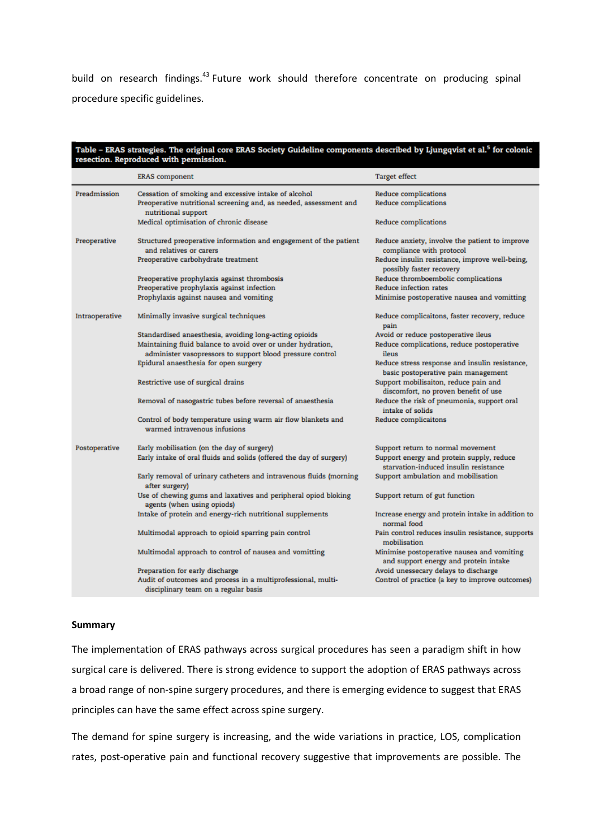build on research findings.<sup>43</sup> Future work should therefore concentrate on producing spinal procedure specific guidelines.

| Table - ERAS strategies. The original core ERAS Society Guideline components described by Ljungqvist et al. <sup>5</sup> for colonic<br>resection. Reproduced with permission. |                                                                                                                                                  |                                                                                       |
|--------------------------------------------------------------------------------------------------------------------------------------------------------------------------------|--------------------------------------------------------------------------------------------------------------------------------------------------|---------------------------------------------------------------------------------------|
|                                                                                                                                                                                | <b>ERAS</b> component                                                                                                                            | <b>Target effect</b>                                                                  |
| Preadmission                                                                                                                                                                   | Cessation of smoking and excessive intake of alcohol<br>Preoperative nutritional screening and, as needed, assessment and<br>nutritional support | <b>Reduce complications</b><br><b>Reduce complications</b>                            |
|                                                                                                                                                                                | Medical optimisation of chronic disease                                                                                                          | <b>Reduce complications</b>                                                           |
| Preoperative                                                                                                                                                                   | Structured preoperative information and engagement of the patient<br>and relatives or carers                                                     | Reduce anxiety, involve the patient to improve<br>compliance with protocol            |
|                                                                                                                                                                                | Preoperative carbohydrate treatment                                                                                                              | Reduce insulin resistance, improve well-being,<br>possibly faster recovery            |
|                                                                                                                                                                                | Preoperative prophylaxis against thrombosis<br>Preoperative prophylaxis against infection                                                        | Reduce thromboembolic complications<br>Reduce infection rates                         |
|                                                                                                                                                                                | Prophylaxis against nausea and vomiting                                                                                                          | Minimise postoperative nausea and vomitting                                           |
| Intraoperative                                                                                                                                                                 | Minimally invasive surgical techniques                                                                                                           | Reduce complicaitons, faster recovery, reduce<br>pain                                 |
|                                                                                                                                                                                | Standardised anaesthesia, avoiding long-acting opioids                                                                                           | Avoid or reduce postoperative ileus                                                   |
|                                                                                                                                                                                | Maintaining fluid balance to avoid over or under hydration,<br>administer vasopressors to support blood pressure control                         | Reduce complications, reduce postoperative<br>ileus                                   |
|                                                                                                                                                                                | Epidural anaesthesia for open surgery                                                                                                            | Reduce stress response and insulin resistance,<br>basic postoperative pain management |
|                                                                                                                                                                                | Restrictive use of surgical drains                                                                                                               | Support mobilisaiton, reduce pain and<br>discomfort, no proven benefit of use         |
|                                                                                                                                                                                | Removal of nasogastric tubes before reversal of anaesthesia                                                                                      | Reduce the risk of pneumonia, support oral<br>intake of solids                        |
|                                                                                                                                                                                | Control of body temperature using warm air flow blankets and<br>warmed intravenous infusions                                                     | <b>Reduce complicaitons</b>                                                           |
| Postoperative                                                                                                                                                                  | Early mobilisation (on the day of surgery)                                                                                                       | Support return to normal movement                                                     |
|                                                                                                                                                                                | Early intake of oral fluids and solids (offered the day of surgery)                                                                              | Support energy and protein supply, reduce<br>starvation-induced insulin resistance    |
|                                                                                                                                                                                | Early removal of urinary catheters and intravenous fluids (morning<br>after surgery)                                                             | Support ambulation and mobilisation                                                   |
|                                                                                                                                                                                | Use of chewing gums and laxatives and peripheral opiod bloking<br>agents (when using opiods)                                                     | Support return of gut function                                                        |
|                                                                                                                                                                                | Intake of protein and energy-rich nutritional supplements                                                                                        | Increase energy and protein intake in addition to<br>normal food                      |
|                                                                                                                                                                                | Multimodal approach to opioid sparring pain control                                                                                              | Pain control reduces insulin resistance, supports<br>mobilisation                     |
|                                                                                                                                                                                | Multimodal approach to control of nausea and vomitting                                                                                           | Minimise postoperative nausea and vomiting<br>and support energy and protein intake   |
|                                                                                                                                                                                | Preparation for early discharge                                                                                                                  | Avoid unessecary delays to discharge                                                  |
|                                                                                                                                                                                | Audit of outcomes and process in a multiprofessional, multi-<br>disciplinary team on a regular basis                                             | Control of practice (a key to improve outcomes)                                       |

### **Summary**

The implementation of ERAS pathways across surgical procedures has seen a paradigm shift in how surgical care is delivered. There is strong evidence to support the adoption of ERAS pathways across a broad range of non-spine surgery procedures, and there is emerging evidence to suggest that ERAS principles can have the same effect across spine surgery.

The demand for spine surgery is increasing, and the wide variations in practice, LOS, complication rates, post-operative pain and functional recovery suggestive that improvements are possible. The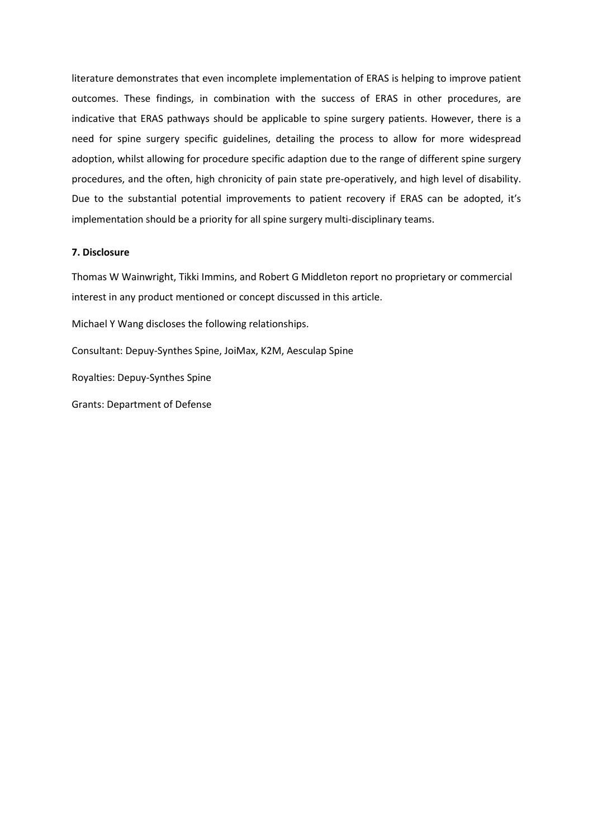literature demonstrates that even incomplete implementation of ERAS is helping to improve patient outcomes. These findings, in combination with the success of ERAS in other procedures, are indicative that ERAS pathways should be applicable to spine surgery patients. However, there is a need for spine surgery specific guidelines, detailing the process to allow for more widespread adoption, whilst allowing for procedure specific adaption due to the range of different spine surgery procedures, and the often, high chronicity of pain state pre-operatively, and high level of disability. Due to the substantial potential improvements to patient recovery if ERAS can be adopted, it′s implementation should be a priority for all spine surgery multi-disciplinary teams.

# **7. Disclosure**

Thomas W Wainwright, Tikki Immins, and Robert G Middleton report no proprietary or commercial interest in any product mentioned or concept discussed in this article.

Michael Y Wang discloses the following relationships.

Consultant: Depuy-Synthes Spine, JoiMax, K2M, Aesculap Spine

Royalties: Depuy-Synthes Spine

Grants: Department of Defense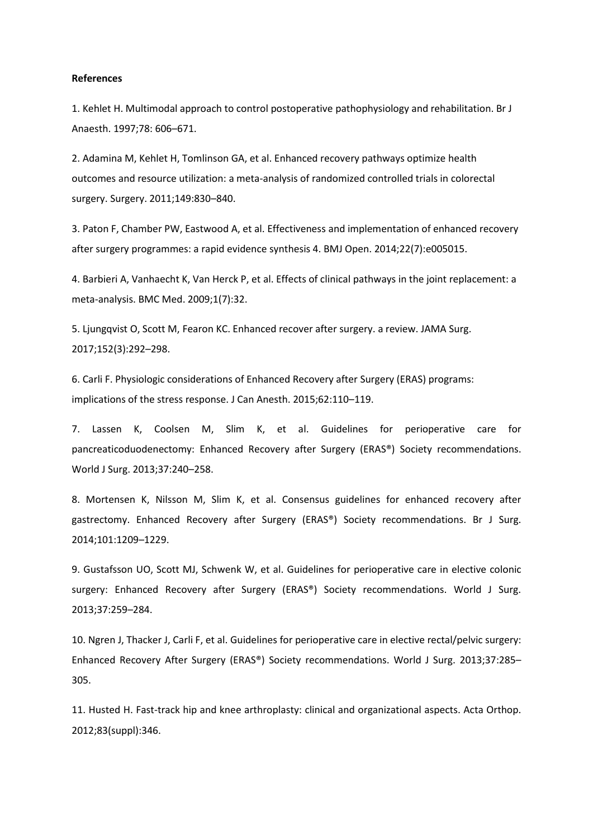#### **References**

1. Kehlet H. Multimodal approach to control postoperative pathophysiology and rehabilitation. Br J Anaesth. 1997;78: 606–671.

2. Adamina M, Kehlet H, Tomlinson GA, et al. Enhanced recovery pathways optimize health outcomes and resource utilization: a meta-analysis of randomized controlled trials in colorectal surgery. Surgery. 2011;149:830–840.

3. Paton F, Chamber PW, Eastwood A, et al. Effectiveness and implementation of enhanced recovery after surgery programmes: a rapid evidence synthesis 4. BMJ Open. 2014;22(7):e005015.

4. Barbieri A, Vanhaecht K, Van Herck P, et al. Effects of clinical pathways in the joint replacement: a meta-analysis. BMC Med. 2009;1(7):32.

5. Ljungqvist O, Scott M, Fearon KC. Enhanced recover after surgery. a review. JAMA Surg. 2017;152(3):292–298.

6. Carli F. Physiologic considerations of Enhanced Recovery after Surgery (ERAS) programs: implications of the stress response. J Can Anesth. 2015;62:110–119.

7. Lassen K, Coolsen M, Slim K, et al. Guidelines for perioperative care for pancreaticoduodenectomy: Enhanced Recovery after Surgery (ERAS®) Society recommendations. World J Surg. 2013;37:240–258.

8. Mortensen K, Nilsson M, Slim K, et al. Consensus guidelines for enhanced recovery after gastrectomy. Enhanced Recovery after Surgery (ERAS®) Society recommendations. Br J Surg. 2014;101:1209–1229.

9. Gustafsson UO, Scott MJ, Schwenk W, et al. Guidelines for perioperative care in elective colonic surgery: Enhanced Recovery after Surgery (ERAS®) Society recommendations. World J Surg. 2013;37:259–284.

10. Ngren J, Thacker J, Carli F, et al. Guidelines for perioperative care in elective rectal/pelvic surgery: Enhanced Recovery After Surgery (ERAS®) Society recommendations. World J Surg. 2013;37:285– 305.

11. Husted H. Fast-track hip and knee arthroplasty: clinical and organizational aspects. Acta Orthop. 2012;83(suppl):346.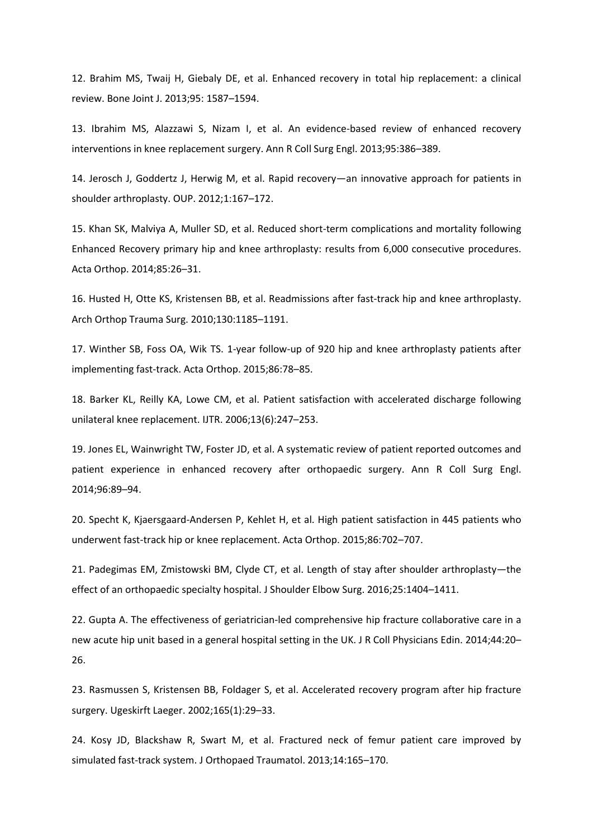12. Brahim MS, Twaij H, Giebaly DE, et al. Enhanced recovery in total hip replacement: a clinical review. Bone Joint J. 2013;95: 1587–1594.

13. Ibrahim MS, Alazzawi S, Nizam I, et al. An evidence-based review of enhanced recovery interventions in knee replacement surgery. Ann R Coll Surg Engl. 2013;95:386–389.

14. Jerosch J, Goddertz J, Herwig M, et al. Rapid recovery—an innovative approach for patients in shoulder arthroplasty. OUP. 2012;1:167–172.

15. Khan SK, Malviya A, Muller SD, et al. Reduced short-term complications and mortality following Enhanced Recovery primary hip and knee arthroplasty: results from 6,000 consecutive procedures. Acta Orthop. 2014;85:26–31.

16. Husted H, Otte KS, Kristensen BB, et al. Readmissions after fast-track hip and knee arthroplasty. Arch Orthop Trauma Surg. 2010;130:1185–1191.

17. Winther SB, Foss OA, Wik TS. 1-year follow-up of 920 hip and knee arthroplasty patients after implementing fast-track. Acta Orthop. 2015;86:78–85.

18. Barker KL, Reilly KA, Lowe CM, et al. Patient satisfaction with accelerated discharge following unilateral knee replacement. IJTR. 2006;13(6):247–253.

19. Jones EL, Wainwright TW, Foster JD, et al. A systematic review of patient reported outcomes and patient experience in enhanced recovery after orthopaedic surgery. Ann R Coll Surg Engl. 2014;96:89–94.

20. Specht K, Kjaersgaard-Andersen P, Kehlet H, et al. High patient satisfaction in 445 patients who underwent fast-track hip or knee replacement. Acta Orthop. 2015;86:702–707.

21. Padegimas EM, Zmistowski BM, Clyde CT, et al. Length of stay after shoulder arthroplasty—the effect of an orthopaedic specialty hospital. J Shoulder Elbow Surg. 2016;25:1404–1411.

22. Gupta A. The effectiveness of geriatrician-led comprehensive hip fracture collaborative care in a new acute hip unit based in a general hospital setting in the UK. J R Coll Physicians Edin. 2014;44:20– 26.

23. Rasmussen S, Kristensen BB, Foldager S, et al. Accelerated recovery program after hip fracture surgery. Ugeskirft Laeger. 2002;165(1):29–33.

24. Kosy JD, Blackshaw R, Swart M, et al. Fractured neck of femur patient care improved by simulated fast-track system. J Orthopaed Traumatol. 2013;14:165–170.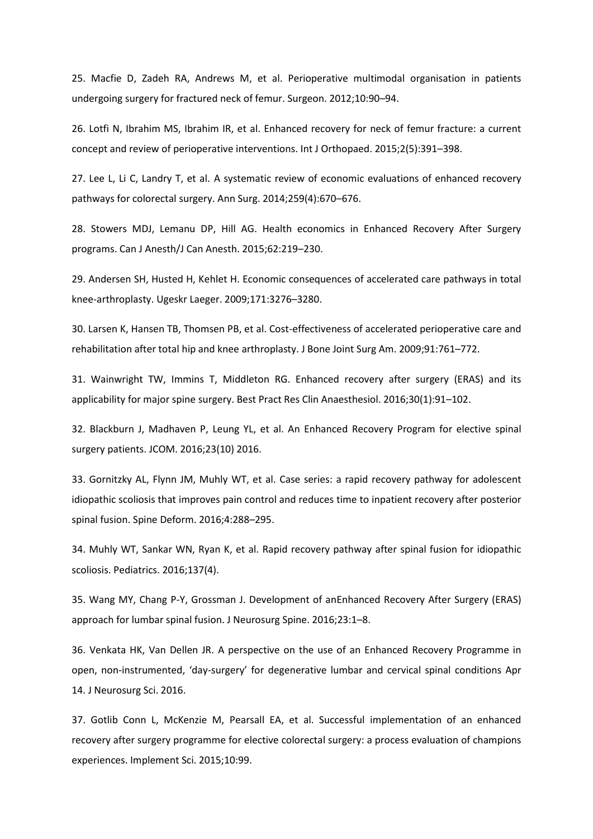25. Macfie D, Zadeh RA, Andrews M, et al. Perioperative multimodal organisation in patients undergoing surgery for fractured neck of femur. Surgeon. 2012;10:90–94.

26. Lotfi N, Ibrahim MS, Ibrahim IR, et al. Enhanced recovery for neck of femur fracture: a current concept and review of perioperative interventions. Int J Orthopaed. 2015;2(5):391–398.

27. Lee L, Li C, Landry T, et al. A systematic review of economic evaluations of enhanced recovery pathways for colorectal surgery. Ann Surg. 2014;259(4):670–676.

28. Stowers MDJ, Lemanu DP, Hill AG. Health economics in Enhanced Recovery After Surgery programs. Can J Anesth/J Can Anesth. 2015;62:219–230.

29. Andersen SH, Husted H, Kehlet H. Economic consequences of accelerated care pathways in total knee-arthroplasty. Ugeskr Laeger. 2009;171:3276–3280.

30. Larsen K, Hansen TB, Thomsen PB, et al. Cost-effectiveness of accelerated perioperative care and rehabilitation after total hip and knee arthroplasty. J Bone Joint Surg Am. 2009;91:761–772.

31. Wainwright TW, Immins T, Middleton RG. Enhanced recovery after surgery (ERAS) and its applicability for major spine surgery. Best Pract Res Clin Anaesthesiol. 2016;30(1):91–102.

32. Blackburn J, Madhaven P, Leung YL, et al. An Enhanced Recovery Program for elective spinal surgery patients. JCOM. 2016;23(10) 2016.

33. Gornitzky AL, Flynn JM, Muhly WT, et al. Case series: a rapid recovery pathway for adolescent idiopathic scoliosis that improves pain control and reduces time to inpatient recovery after posterior spinal fusion. Spine Deform. 2016;4:288–295.

34. Muhly WT, Sankar WN, Ryan K, et al. Rapid recovery pathway after spinal fusion for idiopathic scoliosis. Pediatrics. 2016;137(4).

35. Wang MY, Chang P-Y, Grossman J. Development of anEnhanced Recovery After Surgery (ERAS) approach for lumbar spinal fusion. J Neurosurg Spine. 2016;23:1–8.

36. Venkata HK, Van Dellen JR. A perspective on the use of an Enhanced Recovery Programme in open, non-instrumented, 'day-surgery' for degenerative lumbar and cervical spinal conditions Apr 14. J Neurosurg Sci. 2016.

37. Gotlib Conn L, McKenzie M, Pearsall EA, et al. Successful implementation of an enhanced recovery after surgery programme for elective colorectal surgery: a process evaluation of champions experiences. Implement Sci. 2015;10:99.